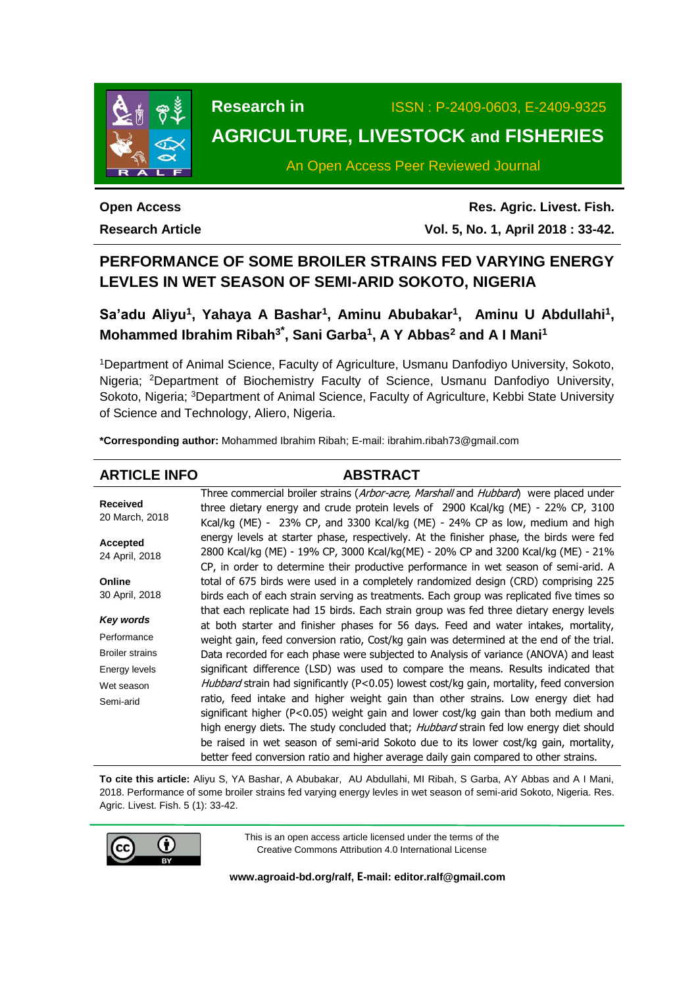

**Research in** ISSN : P-2409-0603, E-2409-9325

# **AGRICULTURE, LIVESTOCK and FISHERIES**

An Open Access Peer Reviewed Journal

**Open Access Research Article**

**Res. Agric. Livest. Fish. Vol. 5, No. 1, April 2018 : 33-42.**

## **PERFORMANCE OF SOME BROILER STRAINS FED VARYING ENERGY LEVLES IN WET SEASON OF SEMI-ARID SOKOTO, NIGERIA**

Sa'adu Aliyu<sup>1</sup>, Yahaya A Bashar<sup>1</sup>, Aminu Abubakar<sup>1</sup>, Aminu U Abdullahi<sup>1</sup>, **Mohammed Ibrahim Ribah<sup>3</sup>\* , Sani Garba<sup>1</sup> , A Y Abbas<sup>2</sup> and A I Mani<sup>1</sup>**

<sup>1</sup>Department of Animal Science, Faculty of Agriculture, Usmanu Danfodiyo University, Sokoto, Nigeria; <sup>2</sup>Department of Biochemistry Faculty of Science, Usmanu Danfodiyo University, Sokoto, Nigeria; <sup>3</sup>Department of Animal Science, Faculty of Agriculture, Kebbi State University of Science and Technology, Aliero, Nigeria.

**\*Corresponding author:** Mohammed Ibrahim Ribah; E-mail[: ibrahim.ribah73@gmail.com](mailto:ibrahim.ribah73@gmail.com)

#### **ARTICLE INFO ABSTRACT Received** 20 March, 2018 **Accepted** 24 April, 2018 **Online** 30 April, 2018 *Key words* **Performance** Broiler strains Energy levels Wet season Semi-arid Three commercial broiler strains (Arbor-acre, Marshall and Hubbard) were placed under three dietary energy and crude protein levels of 2900 Kcal/kg (ME) - 22% CP, 3100 Kcal/kg (ME) - 23% CP, and 3300 Kcal/kg (ME) - 24% CP as low, medium and high energy levels at starter phase, respectively. At the finisher phase, the birds were fed 2800 Kcal/kg (ME) - 19% CP, 3000 Kcal/kg(ME) - 20% CP and 3200 Kcal/kg (ME) - 21% CP, in order to determine their productive performance in wet season of semi-arid. A total of 675 birds were used in a completely randomized design (CRD) comprising 225 birds each of each strain serving as treatments. Each group was replicated five times so that each replicate had 15 birds. Each strain group was fed three dietary energy levels at both starter and finisher phases for 56 days. Feed and water intakes, mortality, weight gain, feed conversion ratio, Cost/kg gain was determined at the end of the trial. Data recorded for each phase were subjected to Analysis of variance (ANOVA) and least significant difference (LSD) was used to compare the means. Results indicated that Hubbard strain had significantly (P<0.05) lowest cost/kg gain, mortality, feed conversion ratio, feed intake and higher weight gain than other strains. Low energy diet had significant higher (P<0.05) weight gain and lower cost/kg gain than both medium and high energy diets. The study concluded that; *Hubbard* strain fed low energy diet should be raised in wet season of semi-arid Sokoto due to its lower cost/kg gain, mortality, better feed conversion ratio and higher average daily gain compared to other strains.

**To cite this article:** Aliyu S, YA Bashar, A Abubakar, AU Abdullahi, MI Ribah, S Garba, AY Abbas and A I Mani, 2018. Performance of some broiler strains fed varying energy levles in wet season of semi-arid Sokoto, Nigeria. Res. Agric. Livest. Fish. 5 (1): 33-42.



This is an open access article licensed under the terms of the Creative Commons Attribution 4.0 International License

**[www.agroaid-bd.org/ralf,](http://www.agroaid-bd.org/ralf) E-mail: [editor.ralf@gmail.com](mailto:editor.ralf@gmail.com)**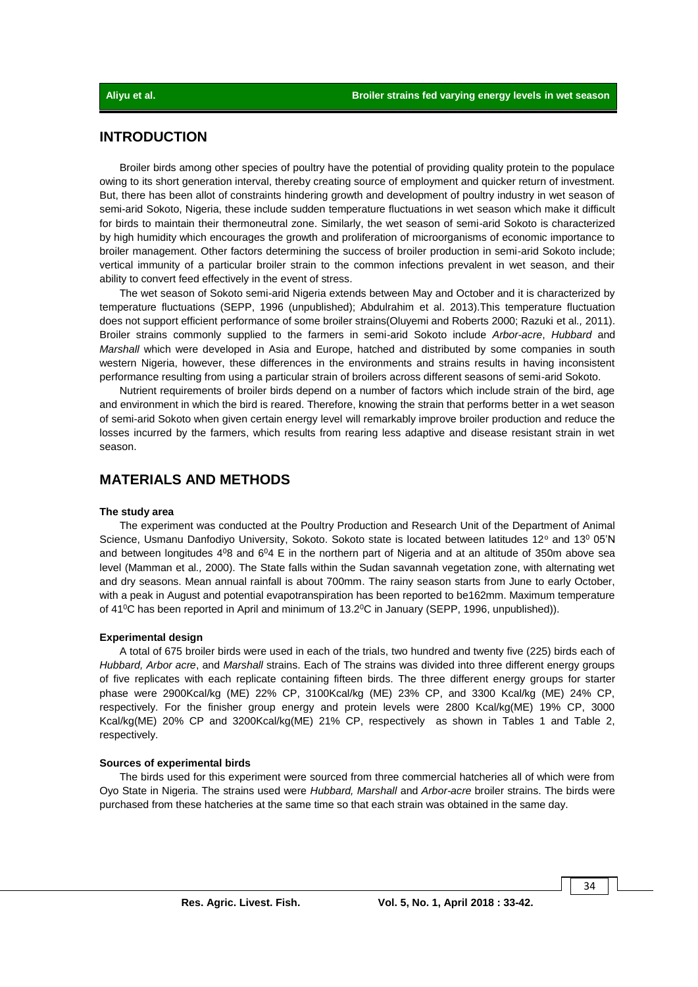## **INTRODUCTION**

Broiler birds among other species of poultry have the potential of providing quality protein to the populace owing to its short generation interval, thereby creating source of employment and quicker return of investment. But, there has been allot of constraints hindering growth and development of poultry industry in wet season of semi-arid Sokoto, Nigeria, these include sudden temperature fluctuations in wet season which make it difficult for birds to maintain their thermoneutral zone. Similarly, the wet season of semi-arid Sokoto is characterized by high humidity which encourages the growth and proliferation of microorganisms of economic importance to broiler management. Other factors determining the success of broiler production in semi-arid Sokoto include; vertical immunity of a particular broiler strain to the common infections prevalent in wet season, and their ability to convert feed effectively in the event of stress.

The wet season of Sokoto semi-arid Nigeria extends between May and October and it is characterized by temperature fluctuations (SEPP, 1996 (unpublished); Abdulrahim et al. 2013).This temperature fluctuation does not support efficient performance of some broiler strains(Oluyemi and Roberts 2000; Razuki et al*.,* 2011). Broiler strains commonly supplied to the farmers in semi-arid Sokoto include *Arbor-acre*, *Hubbard* and *Marshall* which were developed in Asia and Europe, hatched and distributed by some companies in south western Nigeria, however, these differences in the environments and strains results in having inconsistent performance resulting from using a particular strain of broilers across different seasons of semi-arid Sokoto.

Nutrient requirements of broiler birds depend on a number of factors which include strain of the bird, age and environment in which the bird is reared. Therefore, knowing the strain that performs better in a wet season of semi-arid Sokoto when given certain energy level will remarkably improve broiler production and reduce the losses incurred by the farmers, which results from rearing less adaptive and disease resistant strain in wet season.

## **MATERIALS AND METHODS**

#### **The study area**

The experiment was conducted at the Poultry Production and Research Unit of the Department of Animal Science, Usmanu Danfodivo University, Sokoto, Sokoto state is located between latitudes 12° and 13° 05'N and between longitudes  $4^08$  and  $6^04$  E in the northern part of Nigeria and at an altitude of 350m above sea level (Mamman et al*.,* 2000). The State falls within the Sudan savannah vegetation zone, with alternating wet and dry seasons. Mean annual rainfall is about 700mm. The rainy season starts from June to early October, with a peak in August and potential evapotranspiration has been reported to be162mm. Maximum temperature of 41<sup>o</sup>C has been reported in April and minimum of 13.2<sup>o</sup>C in January (SEPP, 1996, unpublished)).

#### **Experimental design**

A total of 675 broiler birds were used in each of the trials, two hundred and twenty five (225) birds each of *Hubbard, Arbor acre*, and *Marshall* strains. Each of The strains was divided into three different energy groups of five replicates with each replicate containing fifteen birds. The three different energy groups for starter phase were 2900Kcal/kg (ME) 22% CP, 3100Kcal/kg (ME) 23% CP, and 3300 Kcal/kg (ME) 24% CP, respectively. For the finisher group energy and protein levels were 2800 Kcal/kg(ME) 19% CP, 3000 Kcal/kg(ME) 20% CP and 3200Kcal/kg(ME) 21% CP, respectively as shown in Tables 1 and Table 2, respectively.

#### **Sources of experimental birds**

The birds used for this experiment were sourced from three commercial hatcheries all of which were from Oyo State in Nigeria. The strains used were *Hubbard, Marshall* and *Arbor-acre* broiler strains. The birds were purchased from these hatcheries at the same time so that each strain was obtained in the same day.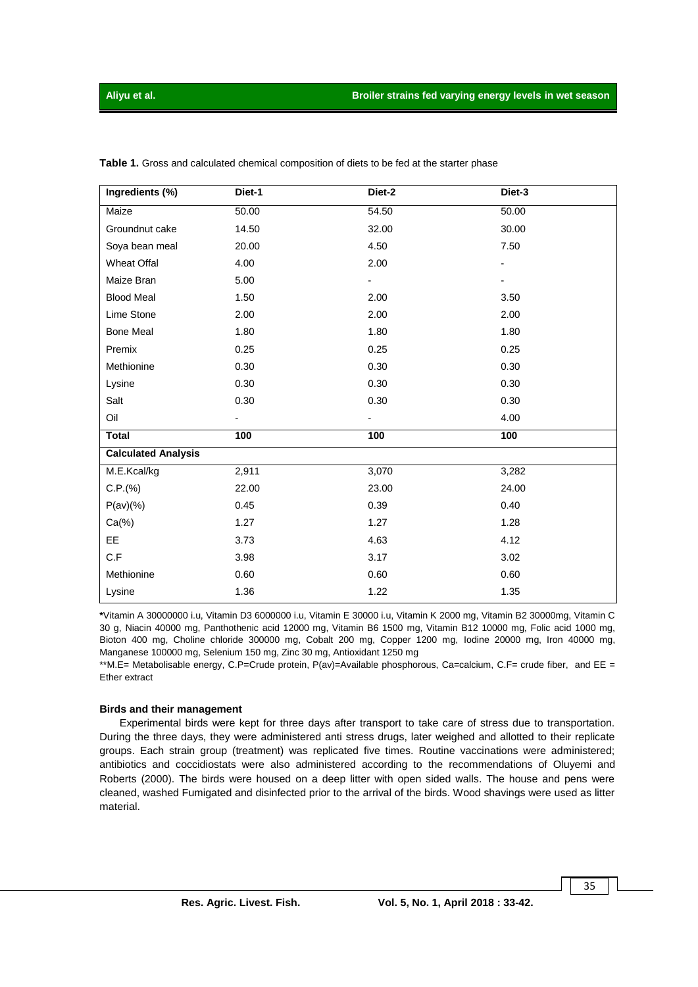| Ingredients (%)            | Diet-1 | Diet-2 | Diet-3 |  |  |
|----------------------------|--------|--------|--------|--|--|
| Maize                      | 50.00  | 54.50  | 50.00  |  |  |
| Groundnut cake             | 14.50  | 32.00  | 30.00  |  |  |
| Soya bean meal             | 20.00  | 4.50   | 7.50   |  |  |
| <b>Wheat Offal</b>         | 4.00   | 2.00   | -      |  |  |
| Maize Bran                 | 5.00   |        |        |  |  |
| <b>Blood Meal</b>          | 1.50   | 2.00   | 3.50   |  |  |
| Lime Stone                 | 2.00   | 2.00   | 2.00   |  |  |
| <b>Bone Meal</b>           | 1.80   | 1.80   | 1.80   |  |  |
| Premix                     | 0.25   | 0.25   | 0.25   |  |  |
| Methionine                 | 0.30   | 0.30   | 0.30   |  |  |
| Lysine                     | 0.30   | 0.30   | 0.30   |  |  |
| Salt                       | 0.30   | 0.30   | 0.30   |  |  |
| Oil                        |        |        | 4.00   |  |  |
| <b>Total</b>               | 100    | 100    | 100    |  |  |
| <b>Calculated Analysis</b> |        |        |        |  |  |
| M.E.Kcal/kg                | 2,911  | 3,070  | 3,282  |  |  |
| C.P.(%)                    | 22.00  | 23.00  | 24.00  |  |  |
| P(av)(%                    | 0.45   | 0.39   | 0.40   |  |  |
| $Ca(\%)$                   | 1.27   | 1.27   | 1.28   |  |  |
| EE.                        | 3.73   | 4.63   | 4.12   |  |  |
| C.F                        | 3.98   | 3.17   | 3.02   |  |  |
| Methionine                 | 0.60   | 0.60   | 0.60   |  |  |
| Lysine                     | 1.36   | 1.22   | 1.35   |  |  |

**Table 1.** Gross and calculated chemical composition of diets to be fed at the starter phase

**\***Vitamin A 30000000 i.u, Vitamin D3 6000000 i.u, Vitamin E 30000 i.u, Vitamin K 2000 mg, Vitamin B2 30000mg, Vitamin C 30 g, Niacin 40000 mg, Panthothenic acid 12000 mg, Vitamin B6 1500 mg, Vitamin B12 10000 mg, Folic acid 1000 mg, Bioton 400 mg, Choline chloride 300000 mg, Cobalt 200 mg, Copper 1200 mg, Iodine 20000 mg, Iron 40000 mg, Manganese 100000 mg, Selenium 150 mg, Zinc 30 mg, Antioxidant 1250 mg

\*\*M.E= Metabolisable energy, C.P=Crude protein, P(av)=Available phosphorous, Ca=calcium, C.F= crude fiber, and EE = Ether extract

#### **Birds and their management**

Experimental birds were kept for three days after transport to take care of stress due to transportation. During the three days, they were administered anti stress drugs, later weighed and allotted to their replicate groups. Each strain group (treatment) was replicated five times. Routine vaccinations were administered; antibiotics and coccidiostats were also administered according to the recommendations of Oluyemi and Roberts (2000). The birds were housed on a deep litter with open sided walls. The house and pens were cleaned, washed Fumigated and disinfected prior to the arrival of the birds. Wood shavings were used as litter material.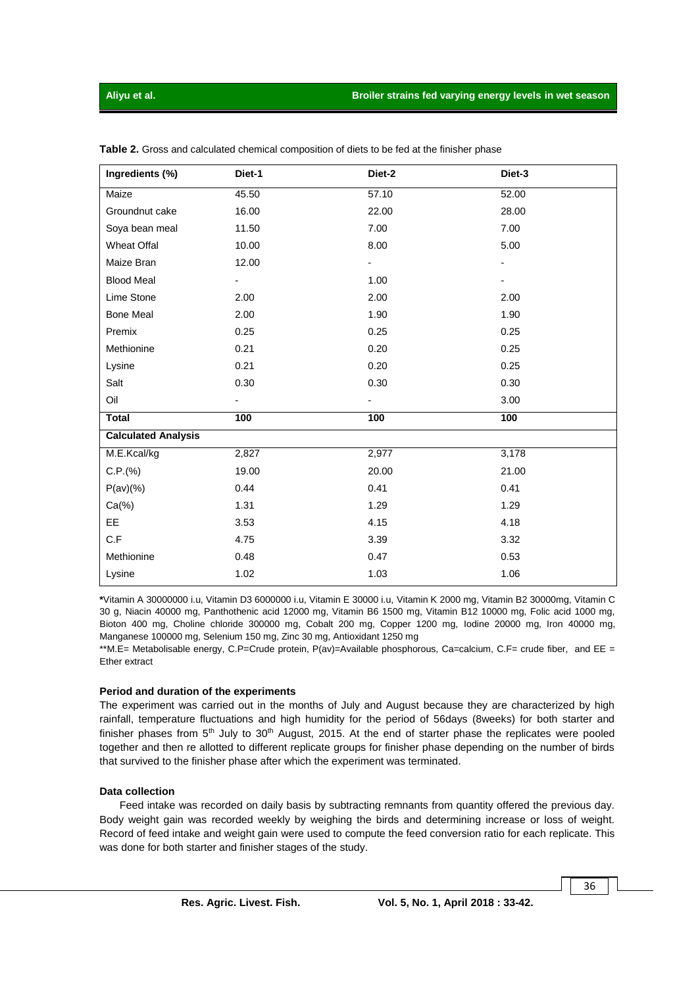| Ingredients (%)            | Diet-1                   | Diet-2                   | Diet-3 |
|----------------------------|--------------------------|--------------------------|--------|
| Maize                      | 45.50                    | 57.10                    | 52.00  |
| Groundnut cake             | 16.00                    | 22.00                    | 28.00  |
| Soya bean meal             | 11.50                    | 7.00                     | 7.00   |
| <b>Wheat Offal</b>         | 10.00                    | 8.00                     | 5.00   |
| Maize Bran                 | 12.00                    |                          |        |
| <b>Blood Meal</b>          | $\overline{\phantom{0}}$ | 1.00                     |        |
| Lime Stone                 | 2.00                     | 2.00                     | 2.00   |
| <b>Bone Meal</b>           | 2.00                     | 1.90                     | 1.90   |
| Premix                     | 0.25                     | 0.25                     | 0.25   |
| Methionine                 | 0.21                     | 0.20                     | 0.25   |
| Lysine                     | 0.21                     | 0.20                     | 0.25   |
| Salt                       | 0.30                     | 0.30                     | 0.30   |
| Oil                        |                          | $\overline{\phantom{0}}$ | 3.00   |
| <b>Total</b>               | 100                      | 100                      | 100    |
| <b>Calculated Analysis</b> |                          |                          |        |
| M.E.Kcal/kg                | 2,827                    | 2,977                    | 3,178  |
| C.P.(%)                    | 19.00                    | 20.00                    | 21.00  |
| $P(av)(\%)$                | 0.44                     | 0.41                     | 0.41   |
| $Ca(\%)$                   | 1.31                     | 1.29                     | 1.29   |
| EE                         | 3.53                     | 4.15                     | 4.18   |
| C.F                        | 4.75                     | 3.39                     | 3.32   |
| Methionine                 | 0.48                     | 0.47                     | 0.53   |
| Lysine                     | 1.02                     | 1.03                     | 1.06   |

**Table 2.** Gross and calculated chemical composition of diets to be fed at the finisher phase

**\***Vitamin A 30000000 i.u, Vitamin D3 6000000 i.u, Vitamin E 30000 i.u, Vitamin K 2000 mg, Vitamin B2 30000mg, Vitamin C 30 g, Niacin 40000 mg, Panthothenic acid 12000 mg, Vitamin B6 1500 mg, Vitamin B12 10000 mg, Folic acid 1000 mg, Bioton 400 mg, Choline chloride 300000 mg, Cobalt 200 mg, Copper 1200 mg, Iodine 20000 mg, Iron 40000 mg, Manganese 100000 mg, Selenium 150 mg, Zinc 30 mg, Antioxidant 1250 mg

\*\*M.E= Metabolisable energy, C.P=Crude protein, P(av)=Available phosphorous, Ca=calcium, C.F= crude fiber, and EE = Ether extract

#### **Period and duration of the experiments**

The experiment was carried out in the months of July and August because they are characterized by high rainfall, temperature fluctuations and high humidity for the period of 56days (8weeks) for both starter and finisher phases from  $5<sup>th</sup>$  July to 30<sup>th</sup> August, 2015. At the end of starter phase the replicates were pooled together and then re allotted to different replicate groups for finisher phase depending on the number of birds that survived to the finisher phase after which the experiment was terminated.

#### **Data collection**

Feed intake was recorded on daily basis by subtracting remnants from quantity offered the previous day. Body weight gain was recorded weekly by weighing the birds and determining increase or loss of weight. Record of feed intake and weight gain were used to compute the feed conversion ratio for each replicate. This was done for both starter and finisher stages of the study.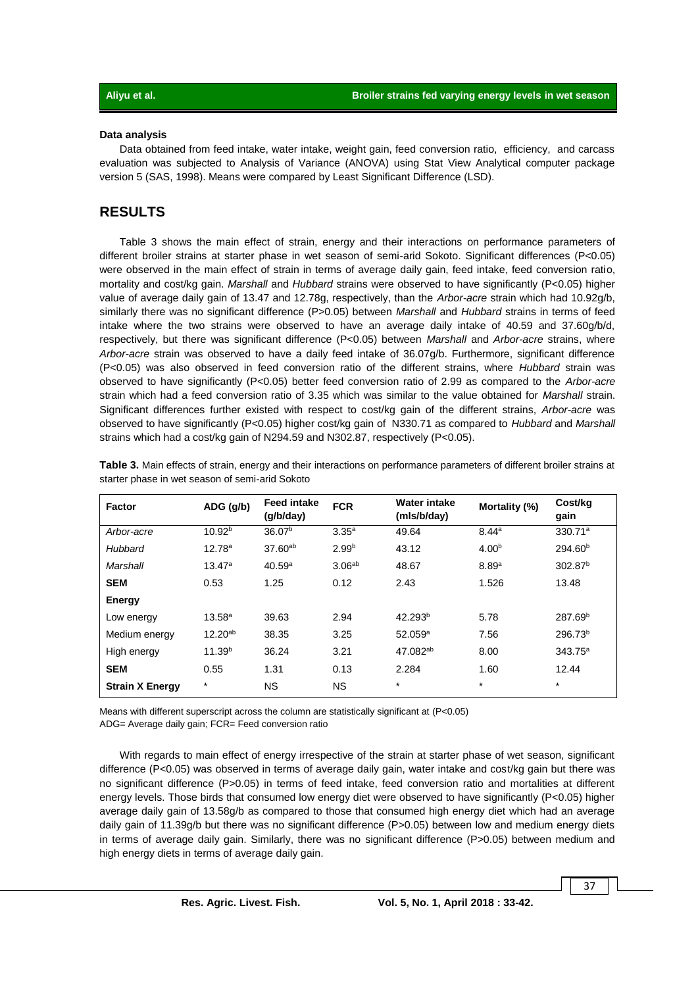#### **Data analysis**

Data obtained from feed intake, water intake, weight gain, feed conversion ratio, efficiency, and carcass evaluation was subjected to Analysis of Variance (ANOVA) using Stat View Analytical computer package version 5 (SAS, 1998). Means were compared by Least Significant Difference (LSD).

### **RESULTS**

Table 3 shows the main effect of strain, energy and their interactions on performance parameters of different broiler strains at starter phase in wet season of semi-arid Sokoto. Significant differences (P<0.05) were observed in the main effect of strain in terms of average daily gain, feed intake, feed conversion ratio, mortality and cost/kg gain. *Marshall* and *Hubbard* strains were observed to have significantly (P<0.05) higher value of average daily gain of 13.47 and 12.78g, respectively, than the *Arbor-acre* strain which had 10.92g/b, similarly there was no significant difference (P>0.05) between *Marshall* and *Hubbard* strains in terms of feed intake where the two strains were observed to have an average daily intake of 40.59 and 37.60g/b/d, respectively, but there was significant difference (P<0.05) between *Marshall* and *Arbor-acre* strains, where *Arbor-acre* strain was observed to have a daily feed intake of 36.07g/b. Furthermore, significant difference (P<0.05) was also observed in feed conversion ratio of the different strains, where *Hubbard* strain was observed to have significantly (P<0.05) better feed conversion ratio of 2.99 as compared to the *Arbor-acre* strain which had a feed conversion ratio of 3.35 which was similar to the value obtained for *Marshall* strain. Significant differences further existed with respect to cost/kg gain of the different strains, *Arbor-acre* was observed to have significantly (P<0.05) higher cost/kg gain of N330.71 as compared to *Hubbard* and *Marshall* strains which had a cost/kg gain of N294.59 and N302.87, respectively (P<0.05).

| Factor                 | $ADG$ (g/b)        | <b>Feed intake</b><br>(q/b/day) | <b>FCR</b>         | Water intake<br>(mls/b/day) | Mortality (%)     | Cost/kg<br>gain     |
|------------------------|--------------------|---------------------------------|--------------------|-----------------------------|-------------------|---------------------|
| Arbor-acre             | 10.92 <sup>b</sup> | 36.07 <sup>b</sup>              | $3.35^{a}$         | 49.64                       | 8.44a             | 330.71 <sup>a</sup> |
| Hubbard                | 12.78 <sup>a</sup> | $37.60^{ab}$                    | 2.99 <sup>b</sup>  | 43.12                       | 4.00 <sup>b</sup> | 294.60 <sup>b</sup> |
| Marshall               | 13.47a             | 40.59a                          | 3.06 <sup>ab</sup> | 48.67                       | 8.89a             | 302.87 <sup>b</sup> |
| <b>SEM</b>             | 0.53               | 1.25                            | 0.12               | 2.43                        | 1.526             | 13.48               |
| Energy                 |                    |                                 |                    |                             |                   |                     |
| Low energy             | 13.58 <sup>a</sup> | 39.63                           | 2.94               | 42.293 <sup>b</sup>         | 5.78              | 287.69 <sup>b</sup> |
| Medium energy          | $12.20^{ab}$       | 38.35                           | 3.25               | $52.059^{\circ}$            | 7.56              | 296.73 <sup>b</sup> |
| High energy            | 11.39 <sup>b</sup> | 36.24                           | 3.21               | 47.082 <sup>ab</sup>        | 8.00              | $343.75^a$          |
| <b>SEM</b>             | 0.55               | 1.31                            | 0.13               | 2.284                       | 1.60              | 12.44               |
| <b>Strain X Energy</b> | $\star$            | <b>NS</b>                       | <b>NS</b>          | $\star$                     | $\star$           | $\star$             |

**Table 3.** Main effects of strain, energy and their interactions on performance parameters of different broiler strains at starter phase in wet season of semi-arid Sokoto

Means with different superscript across the column are statistically significant at (P<0.05) ADG= Average daily gain; FCR= Feed conversion ratio

With regards to main effect of energy irrespective of the strain at starter phase of wet season, significant difference (P<0.05) was observed in terms of average daily gain, water intake and cost/kg gain but there was no significant difference (P>0.05) in terms of feed intake, feed conversion ratio and mortalities at different energy levels. Those birds that consumed low energy diet were observed to have significantly (P<0.05) higher average daily gain of 13.58g/b as compared to those that consumed high energy diet which had an average daily gain of 11.39g/b but there was no significant difference (P>0.05) between low and medium energy diets in terms of average daily gain. Similarly, there was no significant difference (P>0.05) between medium and high energy diets in terms of average daily gain.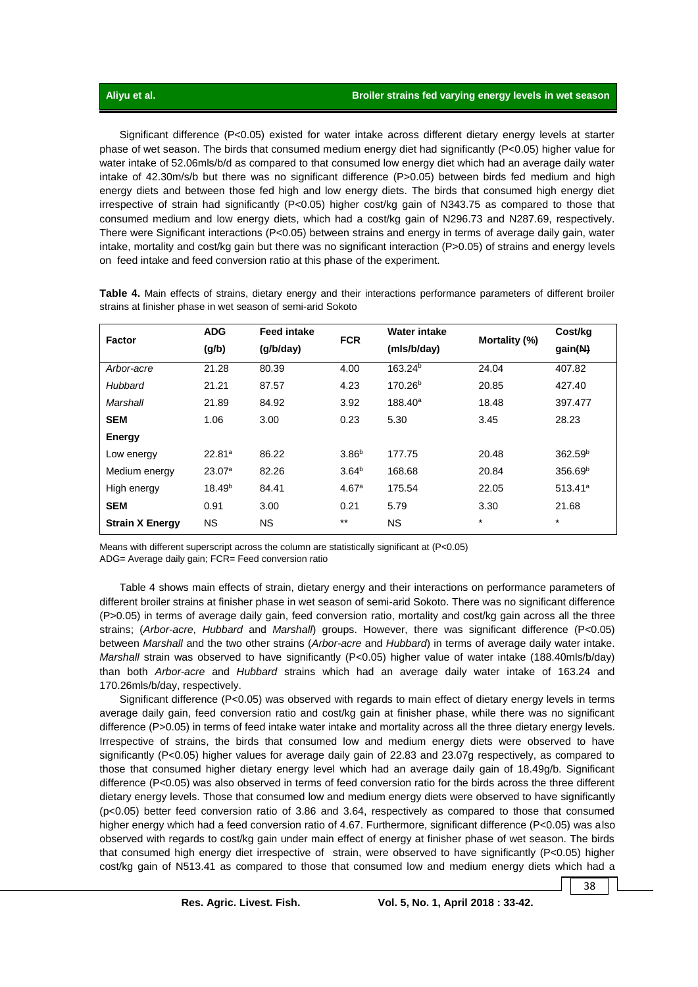Significant difference (P<0.05) existed for water intake across different dietary energy levels at starter phase of wet season. The birds that consumed medium energy diet had significantly (P<0.05) higher value for water intake of 52.06mls/b/d as compared to that consumed low energy diet which had an average daily water intake of 42.30m/s/b but there was no significant difference (P>0.05) between birds fed medium and high energy diets and between those fed high and low energy diets. The birds that consumed high energy diet irrespective of strain had significantly (P<0.05) higher cost/kg gain of N343.75 as compared to those that consumed medium and low energy diets, which had a cost/kg gain of N296.73 and N287.69, respectively. There were Significant interactions (P<0.05) between strains and energy in terms of average daily gain, water intake, mortality and cost/kg gain but there was no significant interaction (P>0.05) of strains and energy levels on feed intake and feed conversion ratio at this phase of the experiment.

| Factor                 | <b>ADG</b>         | <b>Feed intake</b> |                   | <b>Water intake</b> |               | Cost/kg             |
|------------------------|--------------------|--------------------|-------------------|---------------------|---------------|---------------------|
|                        | (g/b)              | (q/b/day)          | <b>FCR</b>        | (mls/b/day)         | Mortality (%) | gain(N)             |
| Arbor-acre             | 21.28              | 80.39              | 4.00              | 163.24 <sup>b</sup> | 24.04         | 407.82              |
| Hubbard                | 21.21              | 87.57              | 4.23              | 170.26 <sup>b</sup> | 20.85         | 427.40              |
| Marshall               | 21.89              | 84.92              | 3.92              | $188.40^a$          | 18.48         | 397.477             |
| <b>SEM</b>             | 1.06               | 3.00               | 0.23              | 5.30                | 3.45          | 28.23               |
| Energy                 |                    |                    |                   |                     |               |                     |
| Low energy             | 22.81a             | 86.22              | 3.86 <sup>b</sup> | 177.75              | 20.48         | 362.59 <sup>b</sup> |
| Medium energy          | 23.07a             | 82.26              | 3.64 <sup>b</sup> | 168.68              | 20.84         | 356.69 <sup>b</sup> |
| High energy            | 18.49 <sup>b</sup> | 84.41              | 4.67 <sup>a</sup> | 175.54              | 22.05         | $513.41^a$          |
| <b>SEM</b>             | 0.91               | 3.00               | 0.21              | 5.79                | 3.30          | 21.68               |
| <b>Strain X Energy</b> | <b>NS</b>          | ΝS                 | $***$             | <b>NS</b>           | $\star$       | $\star$             |

**Table 4.** Main effects of strains, dietary energy and their interactions performance parameters of different broiler strains at finisher phase in wet season of semi-arid Sokoto

Means with different superscript across the column are statistically significant at (P<0.05) ADG= Average daily gain; FCR= Feed conversion ratio

Table 4 shows main effects of strain, dietary energy and their interactions on performance parameters of different broiler strains at finisher phase in wet season of semi-arid Sokoto. There was no significant difference (P>0.05) in terms of average daily gain, feed conversion ratio, mortality and cost/kg gain across all the three strains; (*Arbor-acre*, *Hubbard* and *Marshall*) groups. However, there was significant difference (P<0.05) between *Marshall* and the two other strains (*Arbor-acre* and *Hubbard*) in terms of average daily water intake. *Marshall* strain was observed to have significantly (P<0.05) higher value of water intake (188.40mls/b/day) than both *Arbor-acre* and *Hubbard* strains which had an average daily water intake of 163.24 and 170.26mls/b/day, respectively.

Significant difference (P<0.05) was observed with regards to main effect of dietary energy levels in terms average daily gain, feed conversion ratio and cost/kg gain at finisher phase, while there was no significant difference (P>0.05) in terms of feed intake water intake and mortality across all the three dietary energy levels. Irrespective of strains, the birds that consumed low and medium energy diets were observed to have significantly (P<0.05) higher values for average daily gain of 22.83 and 23.07g respectively, as compared to those that consumed higher dietary energy level which had an average daily gain of 18.49g/b. Significant difference (P<0.05) was also observed in terms of feed conversion ratio for the birds across the three different dietary energy levels. Those that consumed low and medium energy diets were observed to have significantly (p<0.05) better feed conversion ratio of 3.86 and 3.64, respectively as compared to those that consumed higher energy which had a feed conversion ratio of 4.67. Furthermore, significant difference (P<0.05) was also observed with regards to cost/kg gain under main effect of energy at finisher phase of wet season. The birds that consumed high energy diet irrespective of strain, were observed to have significantly (P<0.05) higher cost/kg gain of N513.41 as compared to those that consumed low and medium energy diets which had a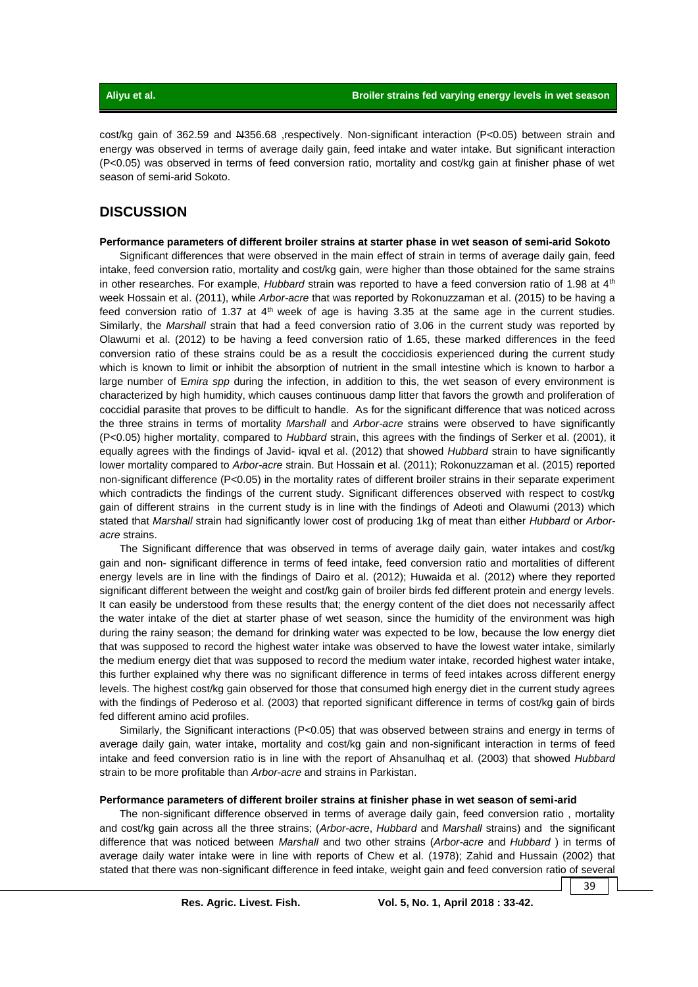cost/kg gain of 362.59 and N356.68 ,respectively. Non-significant interaction (P<0.05) between strain and energy was observed in terms of average daily gain, feed intake and water intake. But significant interaction (P<0.05) was observed in terms of feed conversion ratio, mortality and cost/kg gain at finisher phase of wet season of semi-arid Sokoto.

## **DISCUSSION**

#### **Performance parameters of different broiler strains at starter phase in wet season of semi-arid Sokoto**

Significant differences that were observed in the main effect of strain in terms of average daily gain, feed intake, feed conversion ratio, mortality and cost/kg gain, were higher than those obtained for the same strains in other researches. For example, *Hubbard* strain was reported to have a feed conversion ratio of 1.98 at 4<sup>th</sup> week Hossain et al. (2011), while *Arbor-acre* that was reported by Rokonuzzaman et al. (2015) to be having a feed conversion ratio of 1.37 at  $4<sup>th</sup>$  week of age is having 3.35 at the same age in the current studies. Similarly, the *Marshall* strain that had a feed conversion ratio of 3.06 in the current study was reported by Olawumi et al. (2012) to be having a feed conversion ratio of 1.65, these marked differences in the feed conversion ratio of these strains could be as a result the coccidiosis experienced during the current study which is known to limit or inhibit the absorption of nutrient in the small intestine which is known to harbor a large number of E*mira spp* during the infection, in addition to this, the wet season of every environment is characterized by high humidity, which causes continuous damp litter that favors the growth and proliferation of coccidial parasite that proves to be difficult to handle. As for the significant difference that was noticed across the three strains in terms of mortality *Marshall* and *Arbor-acre* strains were observed to have significantly (P<0.05) higher mortality, compared to *Hubbard* strain, this agrees with the findings of Serker et al. (2001), it equally agrees with the findings of Javid- iqval et al. (2012) that showed *Hubbard* strain to have significantly lower mortality compared to *Arbor-acre* strain. But Hossain et al. (2011); Rokonuzzaman et al. (2015) reported non-significant difference (P<0.05) in the mortality rates of different broiler strains in their separate experiment which contradicts the findings of the current study. Significant differences observed with respect to cost/kg gain of different strains in the current study is in line with the findings of Adeoti and Olawumi (2013) which stated that *Marshall* strain had significantly lower cost of producing 1kg of meat than either *Hubbard* or *Arboracre* strains.

The Significant difference that was observed in terms of average daily gain, water intakes and cost/kg gain and non- significant difference in terms of feed intake, feed conversion ratio and mortalities of different energy levels are in line with the findings of Dairo et al. (2012); Huwaida et al. (2012) where they reported significant different between the weight and cost/kg gain of broiler birds fed different protein and energy levels. It can easily be understood from these results that; the energy content of the diet does not necessarily affect the water intake of the diet at starter phase of wet season, since the humidity of the environment was high during the rainy season; the demand for drinking water was expected to be low, because the low energy diet that was supposed to record the highest water intake was observed to have the lowest water intake, similarly the medium energy diet that was supposed to record the medium water intake, recorded highest water intake, this further explained why there was no significant difference in terms of feed intakes across different energy levels. The highest cost/kg gain observed for those that consumed high energy diet in the current study agrees with the findings of Pederoso et al. (2003) that reported significant difference in terms of cost/kg gain of birds fed different amino acid profiles.

Similarly, the Significant interactions (P<0.05) that was observed between strains and energy in terms of average daily gain, water intake, mortality and cost/kg gain and non-significant interaction in terms of feed intake and feed conversion ratio is in line with the report of Ahsanulhaq et al. (2003) that showed *Hubbard* strain to be more profitable than *Arbor-acre* and strains in Parkistan.

#### **Performance parameters of different broiler strains at finisher phase in wet season of semi-arid**

The non-significant difference observed in terms of average daily gain, feed conversion ratio , mortality and cost/kg gain across all the three strains; (*Arbor-acre*, *Hubbard* and *Marshall* strains) and the significant difference that was noticed between *Marshall* and two other strains (*Arbor-acre* and *Hubbard* ) in terms of average daily water intake were in line with reports of Chew et al. (1978); Zahid and Hussain (2002) that stated that there was non-significant difference in feed intake, weight gain and feed conversion ratio of several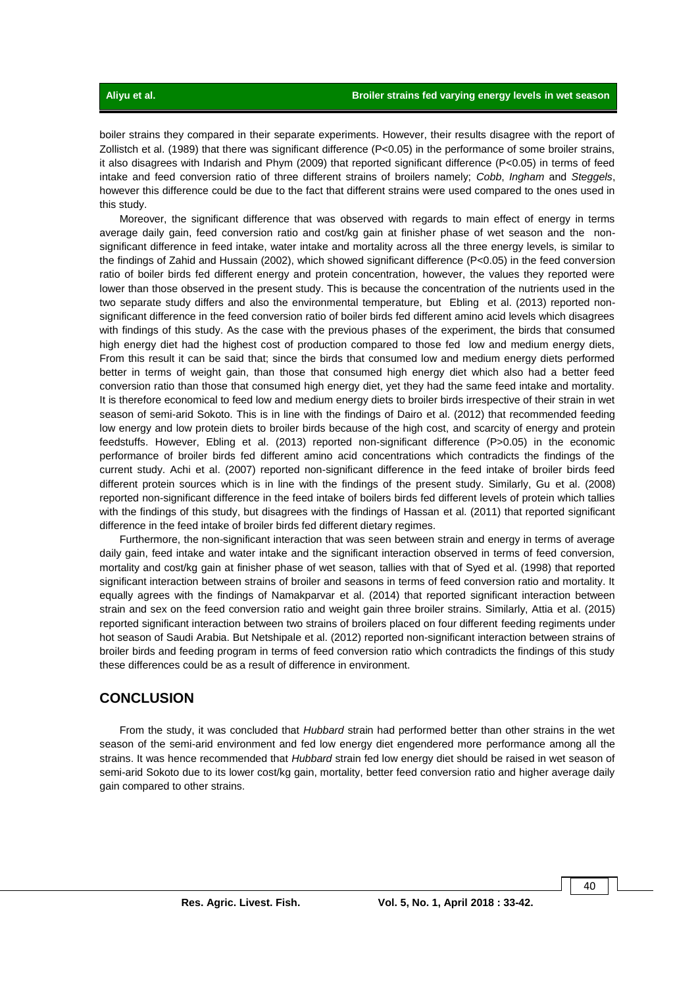boiler strains they compared in their separate experiments. However, their results disagree with the report of Zollistch et al. (1989) that there was significant difference (P<0.05) in the performance of some broiler strains, it also disagrees with Indarish and Phym (2009) that reported significant difference (P<0.05) in terms of feed intake and feed conversion ratio of three different strains of broilers namely; *Cobb*, *Ingham* and *Steggels*, however this difference could be due to the fact that different strains were used compared to the ones used in this study.

Moreover, the significant difference that was observed with regards to main effect of energy in terms average daily gain, feed conversion ratio and cost/kg gain at finisher phase of wet season and the nonsignificant difference in feed intake, water intake and mortality across all the three energy levels, is similar to the findings of Zahid and Hussain (2002), which showed significant difference (P<0.05) in the feed conversion ratio of boiler birds fed different energy and protein concentration, however, the values they reported were lower than those observed in the present study. This is because the concentration of the nutrients used in the two separate study differs and also the environmental temperature, but Ebling et al. (2013) reported nonsignificant difference in the feed conversion ratio of boiler birds fed different amino acid levels which disagrees with findings of this study. As the case with the previous phases of the experiment, the birds that consumed high energy diet had the highest cost of production compared to those fed low and medium energy diets, From this result it can be said that; since the birds that consumed low and medium energy diets performed better in terms of weight gain, than those that consumed high energy diet which also had a better feed conversion ratio than those that consumed high energy diet, yet they had the same feed intake and mortality. It is therefore economical to feed low and medium energy diets to broiler birds irrespective of their strain in wet season of semi-arid Sokoto. This is in line with the findings of Dairo et al. (2012) that recommended feeding low energy and low protein diets to broiler birds because of the high cost, and scarcity of energy and protein feedstuffs. However, Ebling et al. (2013) reported non-significant difference (P>0.05) in the economic performance of broiler birds fed different amino acid concentrations which contradicts the findings of the current study. Achi et al. (2007) reported non-significant difference in the feed intake of broiler birds feed different protein sources which is in line with the findings of the present study. Similarly, Gu et al. (2008) reported non-significant difference in the feed intake of boilers birds fed different levels of protein which tallies with the findings of this study, but disagrees with the findings of Hassan et al. (2011) that reported significant difference in the feed intake of broiler birds fed different dietary regimes.

Furthermore, the non-significant interaction that was seen between strain and energy in terms of average daily gain, feed intake and water intake and the significant interaction observed in terms of feed conversion, mortality and cost/kg gain at finisher phase of wet season, tallies with that of Syed et al. (1998) that reported significant interaction between strains of broiler and seasons in terms of feed conversion ratio and mortality. It equally agrees with the findings of Namakparvar et al. (2014) that reported significant interaction between strain and sex on the feed conversion ratio and weight gain three broiler strains. Similarly, Attia et al. (2015) reported significant interaction between two strains of broilers placed on four different feeding regiments under hot season of Saudi Arabia. But Netshipale et al. (2012) reported non-significant interaction between strains of broiler birds and feeding program in terms of feed conversion ratio which contradicts the findings of this study these differences could be as a result of difference in environment.

## **CONCLUSION**

From the study, it was concluded that *Hubbard* strain had performed better than other strains in the wet season of the semi-arid environment and fed low energy diet engendered more performance among all the strains. It was hence recommended that *Hubbard* strain fed low energy diet should be raised in wet season of semi-arid Sokoto due to its lower cost/kg gain, mortality, better feed conversion ratio and higher average daily gain compared to other strains.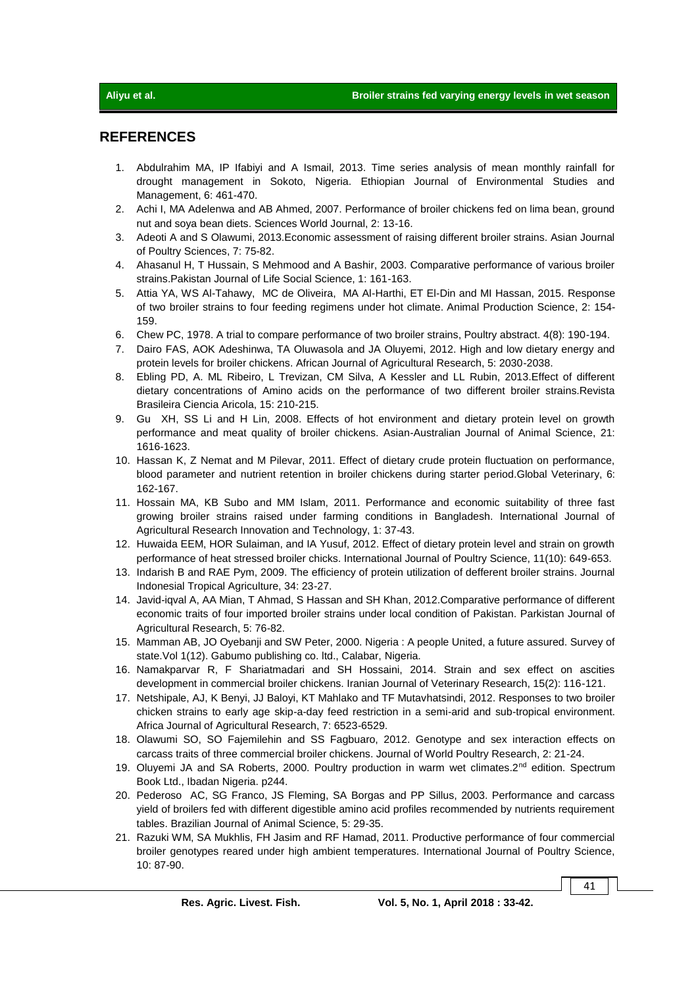## **REFERENCES**

- 1. Abdulrahim MA, IP Ifabiyi and A Ismail, 2013. Time series analysis of mean monthly rainfall for drought management in Sokoto, Nigeria. Ethiopian Journal of Environmental Studies and Management, 6: 461-470.
- 2. Achi I, MA Adelenwa and AB Ahmed, 2007. Performance of broiler chickens fed on lima bean, ground nut and soya bean diets. Sciences World Journal, 2: 13-16.
- 3. Adeoti A and S Olawumi, 2013.Economic assessment of raising different broiler strains. Asian Journal of Poultry Sciences, 7: 75-82.
- 4. Ahasanul H, T Hussain, S Mehmood and A Bashir, 2003. Comparative performance of various broiler strains.Pakistan Journal of Life Social Science, 1: 161-163.
- 5. Attia YA, WS Al-Tahawy, MC de Oliveira, MA Al-Harthi, ET El-Din and MI Hassan, 2015. Response of two broiler strains to four feeding regimens under hot climate. Animal Production Science, 2: 154- 159.
- 6. Chew PC, 1978. A trial to compare performance of two broiler strains, Poultry abstract. 4(8): 190-194.
- 7. Dairo FAS, AOK Adeshinwa, TA Oluwasola and JA Oluyemi, 2012. High and low dietary energy and protein levels for broiler chickens. African Journal of Agricultural Research, 5: 2030-2038.
- 8. Ebling PD, A. ML Ribeiro, L Trevizan, CM Silva, A Kessler and LL Rubin, 2013.Effect of different dietary concentrations of Amino acids on the performance of two different broiler strains.Revista Brasileira Ciencia Aricola, 15: 210-215.
- 9. Gu XH, SS Li and H Lin, 2008. Effects of hot environment and dietary protein level on growth performance and meat quality of broiler chickens. Asian-Australian Journal of Animal Science, 21: 1616-1623.
- 10. Hassan K, Z Nemat and M Pilevar, 2011. Effect of dietary crude protein fluctuation on performance, blood parameter and nutrient retention in broiler chickens during starter period.Global Veterinary, 6: 162-167.
- 11. Hossain MA, KB Subo and MM Islam, 2011. Performance and economic suitability of three fast growing broiler strains raised under farming conditions in Bangladesh. International Journal of Agricultural Research Innovation and Technology, 1: 37-43.
- 12. Huwaida EEM, HOR Sulaiman, and IA Yusuf, 2012. Effect of dietary protein level and strain on growth performance of heat stressed broiler chicks. International Journal of Poultry Science, 11(10): 649-653.
- 13. Indarish B and RAE Pym, 2009. The efficiency of protein utilization of defferent broiler strains. Journal Indonesial Tropical Agriculture, 34: 23-27.
- 14. Javid-iqval A, AA Mian, T Ahmad, S Hassan and SH Khan, 2012.Comparative performance of different economic traits of four imported broiler strains under local condition of Pakistan. Parkistan Journal of Agricultural Research, 5: 76-82.
- 15. Mamman AB, JO Oyebanji and SW Peter, 2000. Nigeria : A people United, a future assured. Survey of state.Vol 1(12). Gabumo publishing co. ltd., Calabar, Nigeria.
- 16. Namakparvar R, F Shariatmadari and SH Hossaini, 2014. Strain and sex effect on ascities development in commercial broiler chickens. Iranian Journal of Veterinary Research, 15(2): 116-121.
- 17. Netshipale, AJ, K Benyi, JJ Baloyi, KT Mahlako and TF Mutavhatsindi, 2012. Responses to two broiler chicken strains to early age skip-a-day feed restriction in a semi-arid and sub-tropical environment. Africa Journal of Agricultural Research, 7: 6523-6529.
- 18. Olawumi SO, SO Fajemilehin and SS Fagbuaro, 2012. Genotype and sex interaction effects on carcass traits of three commercial broiler chickens. Journal of World Poultry Research, 2: 21-24.
- 19. Oluyemi JA and SA Roberts, 2000. Poultry production in warm wet climates.2<sup>nd</sup> edition. Spectrum Book Ltd., Ibadan Nigeria. p244.
- 20. Pederoso AC, SG Franco, JS Fleming, SA Borgas and PP Sillus, 2003. Performance and carcass yield of broilers fed with different digestible amino acid profiles recommended by nutrients requirement tables. Brazilian Journal of Animal Science, 5: 29-35.
- 21. Razuki WM, SA Mukhlis, FH Jasim and RF Hamad, 2011. Productive performance of four commercial broiler genotypes reared under high ambient temperatures. International Journal of Poultry Science, 10: 87-90.